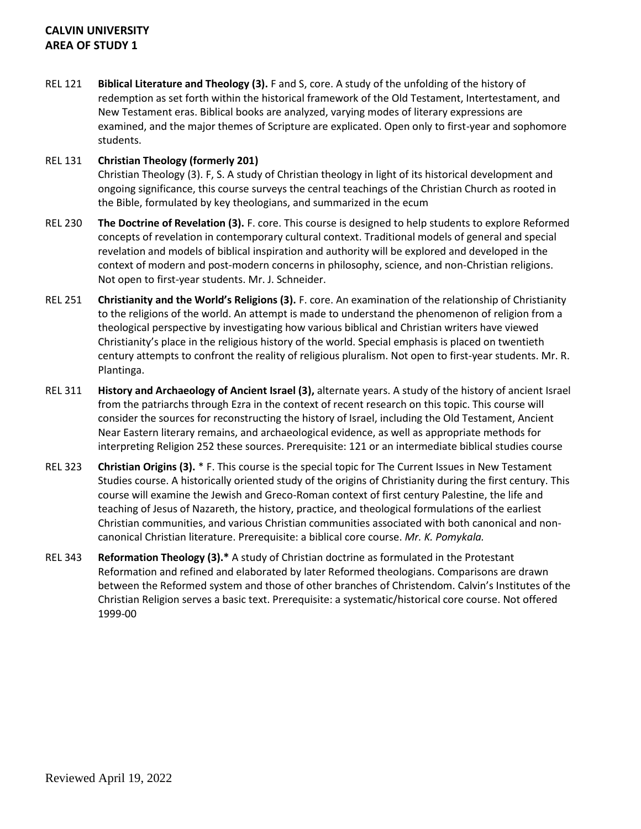# **CALVIN UNIVERSITY AREA OF STUDY 1**

REL 121 **Biblical Literature and Theology (3).** F and S, core. A study of the unfolding of the history of redemption as set forth within the historical framework of the Old Testament, Intertestament, and New Testament eras. Biblical books are analyzed, varying modes of literary expressions are examined, and the major themes of Scripture are explicated. Open only to first-year and sophomore students.

### REL 131 **Christian Theology (formerly 201)**

Christian Theology (3). F, S. A study of Christian theology in light of its historical development and ongoing significance, this course surveys the central teachings of the Christian Church as rooted in the Bible, formulated by key theologians, and summarized in the ecum

- REL 230 **The Doctrine of Revelation (3).** F. core. This course is designed to help students to explore Reformed concepts of revelation in contemporary cultural context. Traditional models of general and special revelation and models of biblical inspiration and authority will be explored and developed in the context of modern and post-modern concerns in philosophy, science, and non-Christian religions. Not open to first-year students. Mr. J. Schneider.
- REL 251 **Christianity and the World's Religions (3).** F. core. An examination of the relationship of Christianity to the religions of the world. An attempt is made to understand the phenomenon of religion from a theological perspective by investigating how various biblical and Christian writers have viewed Christianity's place in the religious history of the world. Special emphasis is placed on twentieth century attempts to confront the reality of religious pluralism. Not open to first-year students. Mr. R. Plantinga.
- REL 311 **History and Archaeology of Ancient Israel (3),** alternate years. A study of the history of ancient Israel from the patriarchs through Ezra in the context of recent research on this topic. This course will consider the sources for reconstructing the history of Israel, including the Old Testament, Ancient Near Eastern literary remains, and archaeological evidence, as well as appropriate methods for interpreting Religion 252 these sources. Prerequisite: 121 or an intermediate biblical studies course
- REL 323 **Christian Origins (3).** \* F. This course is the special topic for The Current Issues in New Testament Studies course. A historically oriented study of the origins of Christianity during the first century. This course will examine the Jewish and Greco-Roman context of first century Palestine, the life and teaching of Jesus of Nazareth, the history, practice, and theological formulations of the earliest Christian communities, and various Christian communities associated with both canonical and noncanonical Christian literature. Prerequisite: a biblical core course. *Mr. K. Pomykala.*
- REL 343 **Reformation Theology (3).\*** A study of Christian doctrine as formulated in the Protestant Reformation and refined and elaborated by later Reformed theologians. Comparisons are drawn between the Reformed system and those of other branches of Christendom. Calvin's Institutes of the Christian Religion serves a basic text. Prerequisite: a systematic/historical core course. Not offered 1999-00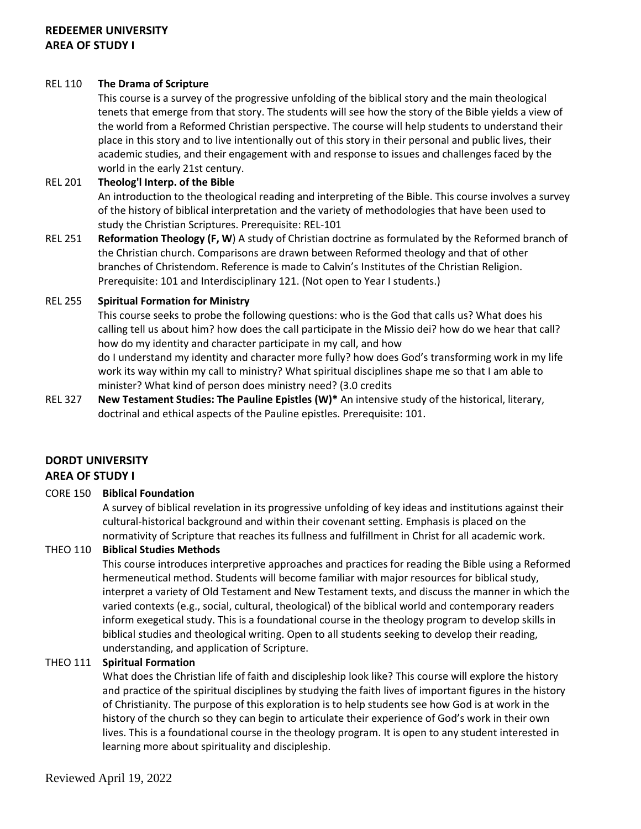### REL 110 **The Drama of Scripture**

This course is a survey of the progressive unfolding of the biblical story and the main theological tenets that emerge from that story. The students will see how the story of the Bible yields a view of the world from a Reformed Christian perspective. The course will help students to understand their place in this story and to live intentionally out of this story in their personal and public lives, their academic studies, and their engagement with and response to issues and challenges faced by the world in the early 21st century.

## REL 201 **Theolog'l Interp. of the Bible**

An introduction to the theological reading and interpreting of the Bible. This course involves a survey of the history of biblical interpretation and the variety of methodologies that have been used to study the Christian Scriptures. Prerequisite: REL-101

REL 251 **Reformation Theology (F, W**) A study of Christian doctrine as formulated by the Reformed branch of the Christian church. Comparisons are drawn between Reformed theology and that of other branches of Christendom. Reference is made to Calvin's Institutes of the Christian Religion. Prerequisite: 101 and Interdisciplinary 121. (Not open to Year I students.)

## REL 255 **Spiritual Formation for Ministry**

This course seeks to probe the following questions: who is the God that calls us? What does his calling tell us about him? how does the call participate in the Missio dei? how do we hear that call? how do my identity and character participate in my call, and how do I understand my identity and character more fully? how does God's transforming work in my life work its way within my call to ministry? What spiritual disciplines shape me so that I am able to

minister? What kind of person does ministry need? (3.0 credits REL 327 **New Testament Studies: The Pauline Epistles (W)\*** An intensive study of the historical, literary, doctrinal and ethical aspects of the Pauline epistles. Prerequisite: 101.

# **DORDT UNIVERSITY AREA OF STUDY I**

# CORE 150 **Biblical Foundation**

A survey of biblical revelation in its progressive unfolding of key ideas and institutions against their cultural-historical background and within their covenant setting. Emphasis is placed on the normativity of Scripture that reaches its fullness and fulfillment in Christ for all academic work.

# THEO 110 **Biblical Studies Methods**

This course introduces interpretive approaches and practices for reading the Bible using a Reformed hermeneutical method. Students will become familiar with major resources for biblical study, interpret a variety of Old Testament and New Testament texts, and discuss the manner in which the varied contexts (e.g., social, cultural, theological) of the biblical world and contemporary readers inform exegetical study. This is a foundational course in the theology program to develop skills in biblical studies and theological writing. Open to all students seeking to develop their reading, understanding, and application of Scripture.

# THEO 111 **Spiritual Formation**

What does the Christian life of faith and discipleship look like? This course will explore the history and practice of the spiritual disciplines by studying the faith lives of important figures in the history of Christianity. The purpose of this exploration is to help students see how God is at work in the history of the church so they can begin to articulate their experience of God's work in their own lives. This is a foundational course in the theology program. It is open to any student interested in learning more about spirituality and discipleship.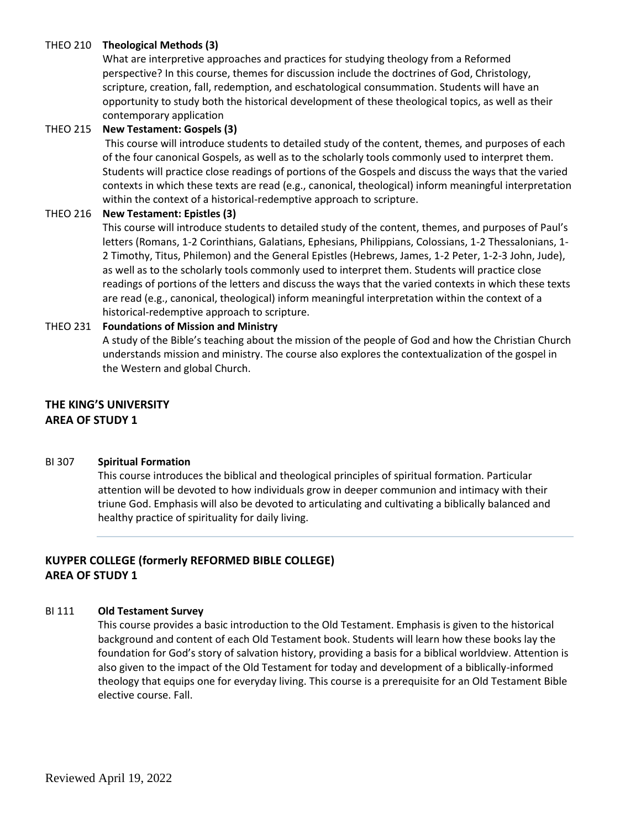### THEO 210 **Theological Methods (3)**

What are interpretive approaches and practices for studying theology from a Reformed perspective? In this course, themes for discussion include the doctrines of God, Christology, scripture, creation, fall, redemption, and eschatological consummation. Students will have an opportunity to study both the historical development of these theological topics, as well as their contemporary application

#### THEO 215 **New Testament: Gospels (3)**

This course will introduce students to detailed study of the content, themes, and purposes of each of the four canonical Gospels, as well as to the scholarly tools commonly used to interpret them. Students will practice close readings of portions of the Gospels and discuss the ways that the varied contexts in which these texts are read (e.g., canonical, theological) inform meaningful interpretation within the context of a historical-redemptive approach to scripture.

#### THEO 216 **New Testament: Epistles (3)**

This course will introduce students to detailed study of the content, themes, and purposes of Paul's letters (Romans, 1-2 Corinthians, Galatians, Ephesians, Philippians, Colossians, 1-2 Thessalonians, 1- 2 Timothy, Titus, Philemon) and the General Epistles (Hebrews, James, 1-2 Peter, 1-2-3 John, Jude), as well as to the scholarly tools commonly used to interpret them. Students will practice close readings of portions of the letters and discuss the ways that the varied contexts in which these texts are read (e.g., canonical, theological) inform meaningful interpretation within the context of a historical-redemptive approach to scripture.

#### THEO 231 **Foundations of Mission and Ministry**

A study of the Bible's teaching about the mission of the people of God and how the Christian Church understands mission and ministry. The course also explores the contextualization of the gospel in the Western and global Church.

# **THE KING'S UNIVERSITY AREA OF STUDY 1**

#### BI 307 **Spiritual Formation**

This course introduces the biblical and theological principles of spiritual formation. Particular attention will be devoted to how individuals grow in deeper communion and intimacy with their triune God. Emphasis will also be devoted to articulating and cultivating a biblically balanced and healthy practice of spirituality for daily living.

# **KUYPER COLLEGE (formerly REFORMED BIBLE COLLEGE) AREA OF STUDY 1**

### BI 111 **Old Testament Survey**

This course provides a basic introduction to the Old Testament. Emphasis is given to the historical background and content of each Old Testament book. Students will learn how these books lay the foundation for God's story of salvation history, providing a basis for a biblical worldview. Attention is also given to the impact of the Old Testament for today and development of a biblically-informed theology that equips one for everyday living. This course is a prerequisite for an Old Testament Bible elective course. Fall.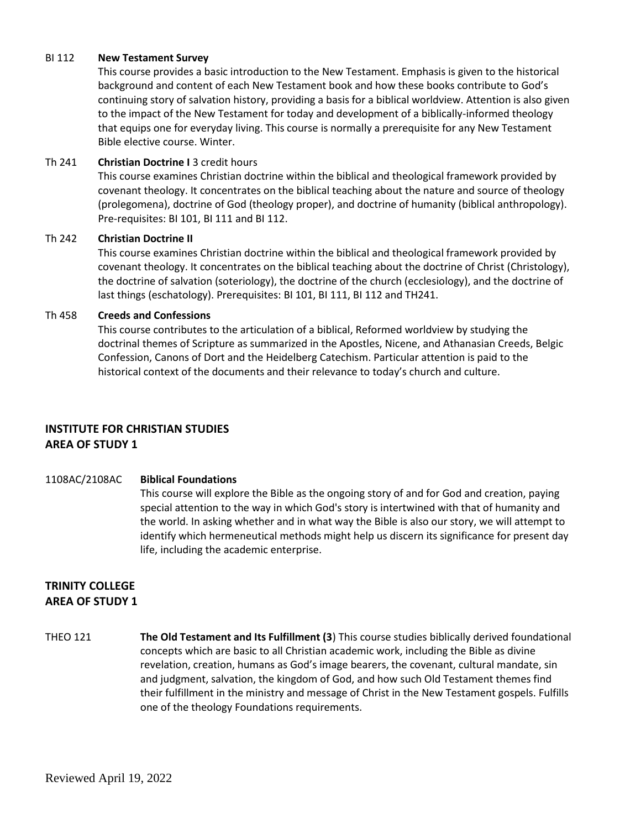#### BI 112 **New Testament Survey**

This course provides a basic introduction to the New Testament. Emphasis is given to the historical background and content of each New Testament book and how these books contribute to God's continuing story of salvation history, providing a basis for a biblical worldview. Attention is also given to the impact of the New Testament for today and development of a biblically-informed theology that equips one for everyday living. This course is normally a prerequisite for any New Testament Bible elective course. Winter.

### Th 241 **Christian Doctrine I** 3 credit hours

This course examines Christian doctrine within the biblical and theological framework provided by covenant theology. It concentrates on the biblical teaching about the nature and source of theology (prolegomena), doctrine of God (theology proper), and doctrine of humanity (biblical anthropology). Pre-requisites: BI 101, BI 111 and BI 112.

### Th 242 **Christian Doctrine II**

This course examines Christian doctrine within the biblical and theological framework provided by covenant theology. It concentrates on the biblical teaching about the doctrine of Christ (Christology), the doctrine of salvation (soteriology), the doctrine of the church (ecclesiology), and the doctrine of last things (eschatology). Prerequisites: BI 101, BI 111, BI 112 and TH241.

### Th 458 **Creeds and Confessions**

This course contributes to the articulation of a biblical, Reformed worldview by studying the doctrinal themes of Scripture as summarized in the Apostles, Nicene, and Athanasian Creeds, Belgic Confession, Canons of Dort and the Heidelberg Catechism. Particular attention is paid to the historical context of the documents and their relevance to today's church and culture.

# **INSTITUTE FOR CHRISTIAN STUDIES AREA OF STUDY 1**

### 1108AC/2108AC **Biblical Foundations**

This course will explore the Bible as the ongoing story of and for God and creation, paying special attention to the way in which God's story is intertwined with that of humanity and the world. In asking whether and in what way the Bible is also our story, we will attempt to identify which hermeneutical methods might help us discern its significance for present day life, including the academic enterprise.

# **TRINITY COLLEGE AREA OF STUDY 1**

THEO 121 **The Old Testament and Its Fulfillment (3**) This course studies biblically derived foundational concepts which are basic to all Christian academic work, including the Bible as divine revelation, creation, humans as God's image bearers, the covenant, cultural mandate, sin and judgment, salvation, the kingdom of God, and how such Old Testament themes find their fulfillment in the ministry and message of Christ in the New Testament gospels. Fulfills one of the theology Foundations requirements.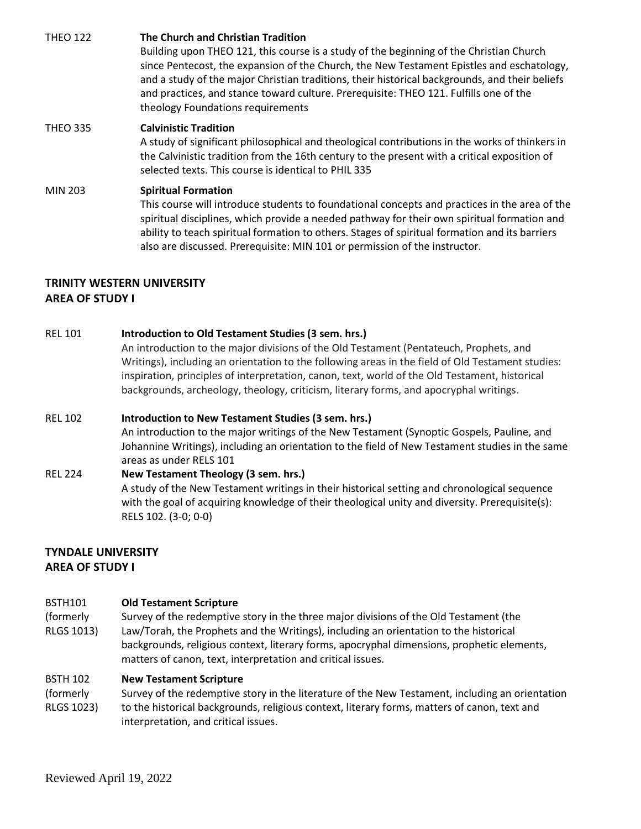THEO 122 **The Church and Christian Tradition** Building upon THEO 121, this course is a study of the beginning of the Christian Church since Pentecost, the expansion of the Church, the New Testament Epistles and eschatology, and a study of the major Christian traditions, their historical backgrounds, and their beliefs and practices, and stance toward culture. Prerequisite: THEO 121. Fulfills one of the theology Foundations requirements

## THEO 335 **Calvinistic Tradition**

A study of significant philosophical and theological contributions in the works of thinkers in the Calvinistic tradition from the 16th century to the present with a critical exposition of selected texts. This course is identical to PHIL 335

#### MIN 203 **Spiritual Formation**

This course will introduce students to foundational concepts and practices in the area of the spiritual disciplines, which provide a needed pathway for their own spiritual formation and ability to teach spiritual formation to others. Stages of spiritual formation and its barriers also are discussed. Prerequisite: MIN 101 or permission of the instructor.

## **TRINITY WESTERN UNIVERSITY AREA OF STUDY I**

## REL 101 **Introduction to Old Testament Studies (3 sem. hrs.)**

An introduction to the major divisions of the Old Testament (Pentateuch, Prophets, and Writings), including an orientation to the following areas in the field of Old Testament studies: inspiration, principles of interpretation, canon, text, world of the Old Testament, historical backgrounds, archeology, theology, criticism, literary forms, and apocryphal writings.

### REL 102 **Introduction to New Testament Studies (3 sem. hrs.)**

An introduction to the major writings of the New Testament (Synoptic Gospels, Pauline, and Johannine Writings), including an orientation to the field of New Testament studies in the same areas as under RELS 101

### REL 224 **New Testament Theology (3 sem. hrs.)**

A study of the New Testament writings in their historical setting and chronological sequence with the goal of acquiring knowledge of their theological unity and diversity. Prerequisite(s): RELS 102. (3-0; 0-0)

# **TYNDALE UNIVERSITY AREA OF STUDY I**

#### BSTH101 **Old Testament Scripture**

(formerly RLGS 1013) Survey of the redemptive story in the three major divisions of the Old Testament (the Law/Torah, the Prophets and the Writings), including an orientation to the historical backgrounds, religious context, literary forms, apocryphal dimensions, prophetic elements, matters of canon, text, interpretation and critical issues.

#### BSTH 102 **New Testament Scripture**

(formerly RLGS 1023) Survey of the redemptive story in the literature of the New Testament, including an orientation to the historical backgrounds, religious context, literary forms, matters of canon, text and interpretation, and critical issues.